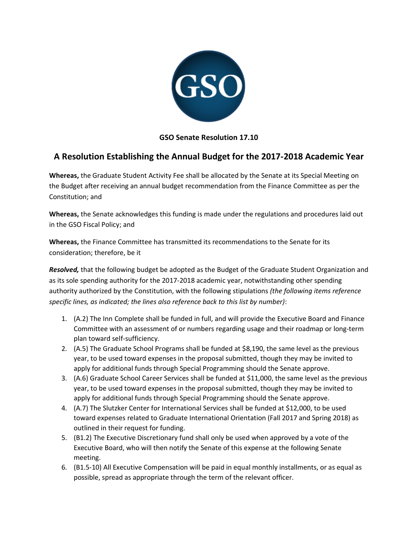

### **GSO Senate Resolution 17.10**

# **A Resolution Establishing the Annual Budget for the 2017-2018 Academic Year**

**Whereas,** the Graduate Student Activity Fee shall be allocated by the Senate at its Special Meeting on the Budget after receiving an annual budget recommendation from the Finance Committee as per the Constitution; and

**Whereas,** the Senate acknowledges this funding is made under the regulations and procedures laid out in the GSO Fiscal Policy; and

**Whereas,** the Finance Committee has transmitted its recommendations to the Senate for its consideration; therefore, be it

*Resolved,* that the following budget be adopted as the Budget of the Graduate Student Organization and as its sole spending authority for the 2017-2018 academic year, notwithstanding other spending authority authorized by the Constitution, with the following stipulations *(the following items reference specific lines, as indicated; the lines also reference back to this list by number)*:

- 1. (A.2) The Inn Complete shall be funded in full, and will provide the Executive Board and Finance Committee with an assessment of or numbers regarding usage and their roadmap or long-term plan toward self-sufficiency.
- 2. (A.5) The Graduate School Programs shall be funded at \$8,190, the same level as the previous year, to be used toward expenses in the proposal submitted, though they may be invited to apply for additional funds through Special Programming should the Senate approve.
- 3. (A.6) Graduate School Career Services shall be funded at \$11,000, the same level as the previous year, to be used toward expenses in the proposal submitted, though they may be invited to apply for additional funds through Special Programming should the Senate approve.
- 4. (A.7) The Slutzker Center for International Services shall be funded at \$12,000, to be used toward expenses related to Graduate International Orientation (Fall 2017 and Spring 2018) as outlined in their request for funding.
- 5. (B1.2) The Executive Discretionary fund shall only be used when approved by a vote of the Executive Board, who will then notify the Senate of this expense at the following Senate meeting.
- 6. (B1.5-10) All Executive Compensation will be paid in equal monthly installments, or as equal as possible, spread as appropriate through the term of the relevant officer.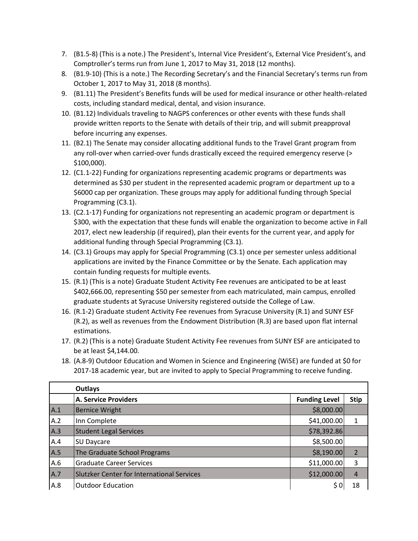- 7. (B1.5-8) (This is a note.) The President's, Internal Vice President's, External Vice President's, and Comptroller's terms run from June 1, 2017 to May 31, 2018 (12 months).
- 8. (B1.9-10) (This is a note.) The Recording Secretary's and the Financial Secretary's terms run from October 1, 2017 to May 31, 2018 (8 months).
- 9. (B1.11) The President's Benefits funds will be used for medical insurance or other health-related costs, including standard medical, dental, and vision insurance.
- 10. (B1.12) Individuals traveling to NAGPS conferences or other events with these funds shall provide written reports to the Senate with details of their trip, and will submit preapproval before incurring any expenses.
- 11. (B2.1) The Senate may consider allocating additional funds to the Travel Grant program from any roll-over when carried-over funds drastically exceed the required emergency reserve (> \$100,000).
- 12. (C1.1-22) Funding for organizations representing academic programs or departments was determined as \$30 per student in the represented academic program or department up to a \$6000 cap per organization. These groups may apply for additional funding through Special Programming (C3.1).
- 13. (C2.1-17) Funding for organizations not representing an academic program or department is \$300, with the expectation that these funds will enable the organization to become active in Fall 2017, elect new leadership (if required), plan their events for the current year, and apply for additional funding through Special Programming (C3.1).
- 14. (C3.1) Groups may apply for Special Programming (C3.1) once per semester unless additional applications are invited by the Finance Committee or by the Senate. Each application may contain funding requests for multiple events.
- 15. (R.1) (This is a note) Graduate Student Activity Fee revenues are anticipated to be at least \$402,666.00, representing \$50 per semester from each matriculated, main campus, enrolled graduate students at Syracuse University registered outside the College of Law.
- 16. (R.1-2) Graduate student Activity Fee revenues from Syracuse University (R.1) and SUNY ESF (R.2), as well as revenues from the Endowment Distribution (R.3) are based upon flat internal estimations.
- 17. (R.2) (This is a note) Graduate Student Activity Fee revenues from SUNY ESF are anticipated to be at least \$4,144.00.
- 18. (A.8-9) Outdoor Education and Women in Science and Engineering (WiSE) are funded at \$0 for 2017-18 academic year, but are invited to apply to Special Programming to receive funding.

|     | <b>Outlays</b>                                    |                      |                |
|-----|---------------------------------------------------|----------------------|----------------|
|     | <b>A. Service Providers</b>                       | <b>Funding Level</b> | <b>Stip</b>    |
| A.1 | <b>Bernice Wright</b>                             | \$8,000.00           |                |
| A.2 | Inn Complete                                      | \$41,000.00          | $\mathbf{1}$   |
| A.3 | <b>Student Legal Services</b>                     | \$78,392.86          |                |
| A.4 | SU Daycare                                        | \$8,500.00           |                |
| A.5 | The Graduate School Programs                      | \$8,190.00           | $\overline{2}$ |
| A.6 | <b>Graduate Career Services</b>                   | \$11,000.00          | 3              |
| A.7 | <b>Slutzker Center for International Services</b> | \$12,000.00          | $\overline{4}$ |
| A.8 | <b>Outdoor Education</b>                          | \$0                  | 18             |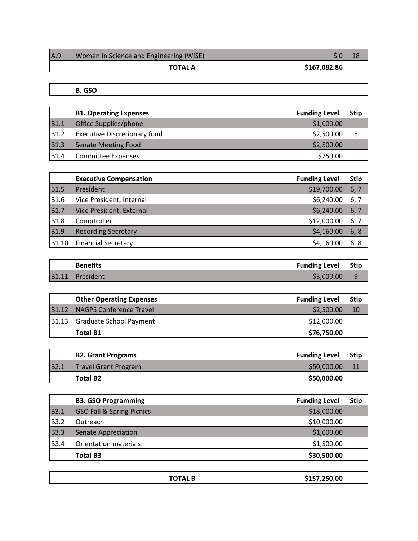| IA.9 | Women in Science and Engineering (WiSE) |              |  |
|------|-----------------------------------------|--------------|--|
|      | TOTAL A                                 | \$167,082.86 |  |

### **B. GSO**

|             | <b>B1. Operating Expenses</b>       | <b>Funding Level</b> | <b>Stip</b> |
|-------------|-------------------------------------|----------------------|-------------|
| <b>B1.1</b> | Office Supplies/phone               | \$1,000.00           |             |
| <b>B1.2</b> | <b>Executive Discretionary fund</b> | \$2,500.00           |             |
| <b>B1.3</b> | Senate Meeting Food                 | \$2,500.00           |             |
| <b>B1.4</b> | <b>Committee Expenses</b>           | \$750.00             |             |

|             | <b>Executive Compensation</b> | <b>Funding Level</b> | <b>Stip</b> |
|-------------|-------------------------------|----------------------|-------------|
| <b>B1.5</b> | President                     | \$19,700.00          | 6, 7        |
| <b>B1.6</b> | Vice President, Internal      | \$6,240.00           | 6, 7        |
| <b>B1.7</b> | Vice President, External      | \$6,240.00           | 6, 7        |
| <b>B1.8</b> | Comptroller                   | \$12,000.00          | 6, 7        |
| <b>B1.9</b> | <b>Recording Secretary</b>    | \$4,160.00           | 6, 8        |
| B1.10       | <b>Financial Secretary</b>    | \$4,160.00           | 6, 8        |

|       | <b>Benefits</b> | <b>Funding Level</b> | <b>Stip</b> |
|-------|-----------------|----------------------|-------------|
| B1.11 | President       | \$3,000.00           |             |

|                   | <b>Other Operating Expenses</b> | <b>Funding Level</b> | <b>Stip</b> |
|-------------------|---------------------------------|----------------------|-------------|
| B <sub>1.12</sub> | <b>NAGPS Conference Travel</b>  | \$2,500.00           | 10          |
| B <sub>1.13</sub> | Graduate School Payment         | \$12,000.00          |             |
|                   | <b>Total B1</b>                 | \$76,750.00          |             |

|                  | <b>B2. Grant Programs</b>   | <b>Funding Level</b> | <b>Stip</b> |
|------------------|-----------------------------|----------------------|-------------|
| B <sub>2</sub> . | <b>Travel Grant Program</b> | \$50,000.00          |             |
|                  | <b>Total B2</b>             | \$50,000.00          |             |

|             | <b>B3. GSO Programming</b>           | <b>Funding Level</b> | <b>Stip</b> |
|-------------|--------------------------------------|----------------------|-------------|
| <b>B3.1</b> | <b>GSO Fall &amp; Spring Picnics</b> | \$18,000.00          |             |
| <b>B3.2</b> | Outreach                             | \$10,000.00          |             |
| <b>B3.3</b> | Senate Appreciation                  | \$1,000.00           |             |
| <b>B3.4</b> | Orientation materials                | \$1,500.00           |             |
|             | <b>Total B3</b>                      | \$30,500.00          |             |

| . | 50.00<br>$\overline{\phantom{a}}$ |
|---|-----------------------------------|
|   |                                   |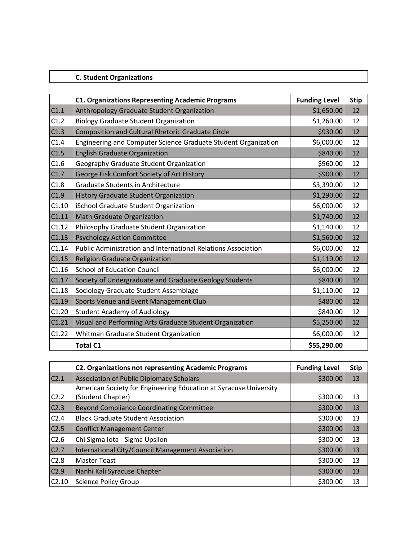## **C. Student Organizations**

|       | <b>C1. Organizations Representing Academic Programs</b>              | <b>Funding Level</b> | <b>Stip</b> |
|-------|----------------------------------------------------------------------|----------------------|-------------|
| C1.1  | Anthropology Graduate Student Organization                           | \$1,650.00           | 12          |
| C1.2  | <b>Biology Graduate Student Organization</b>                         | \$1,260.00           | 12          |
| C1.3  | Composition and Cultural Rhetoric Graduate Circle                    | \$930.00             | 12          |
| C1.4  | Engineering and Computer Science Graduate Student Organization       | \$6,000.00           | 12          |
| C1.5  | <b>English Graduate Organization</b>                                 | \$840.00             | 12          |
| C1.6  | Geography Graduate Student Organization                              | \$960.00             | 12          |
| C1.7  | George Fisk Comfort Society of Art History                           | \$900.00             | 12          |
| C1.8  | <b>Graduate Students in Architecture</b>                             | \$3,390.00           | 12          |
| C1.9  | History Graduate Student Organization                                | \$1,290.00           | 12          |
| C1.10 | iSchool Graduate Student Organization                                | \$6,000.00           | 12          |
| C1.11 | Math Graduate Organization                                           | \$1,740.00           | 12          |
| C1.12 | Philosophy Graduate Student Organization                             | \$1,140.00           | 12          |
| C1.13 | <b>Psychology Action Committee</b>                                   | \$1,560.00           | 12          |
| C1.14 | <b>Public Administration and International Relations Association</b> | \$6,000.00           | 12          |
| C1.15 | <b>Religion Graduate Organization</b>                                | \$1,110.00           | 12          |
| C1.16 | <b>School of Education Council</b>                                   | \$6,000.00           | 12          |
| C1.17 | Society of Undergraduate and Graduate Geology Students               | \$840.00             | 12          |
| C1.18 | Sociology Graduate Student Assemblage                                | \$1,110.00           | 12          |
| C1.19 | Sports Venue and Event Management Club                               | \$480.00             | 12          |
| C1.20 | <b>Student Academy of Audiology</b>                                  | \$840.00             | 12          |
| C1.21 | Visual and Performing Arts Graduate Student Organization             | \$5,250.00           | 12          |
| C1.22 | Whitman Graduate Student Organization                                | \$6,000.00           | 12          |
|       | <b>Total C1</b>                                                      | \$55,290.00          |             |

|                  | <b>C2. Organizations not representing Academic Programs</b>       | <b>Funding Level</b> | <b>Stip</b> |
|------------------|-------------------------------------------------------------------|----------------------|-------------|
| C <sub>2.1</sub> | <b>Association of Public Diplomacy Scholars</b>                   | \$300.00             | 13          |
|                  | American Society for Engineering Education at Syracuse University |                      |             |
| C <sub>2.2</sub> | (Student Chapter)                                                 | \$300.00             | 13          |
| C <sub>2.3</sub> | <b>Beyond Compliance Coordinating Committee</b>                   | \$300.00             | 13          |
| C <sub>2.4</sub> | <b>Black Graduate Student Association</b>                         | \$300.00             | 13          |
| C2.5             | <b>Conflict Management Center</b>                                 | \$300.00             | 13          |
| C2.6             | Chi Sigma Iota - Sigma Upsilon                                    | \$300.00             | 13          |
| C2.7             | International City/Council Management Association                 | \$300.00             | 13          |
| C2.8             | <b>Master Toast</b>                                               | \$300.00             | 13          |
| C2.9             | Nanhi Kali Syracuse Chapter                                       | \$300.00             | 13          |
| C2.10            | <b>Science Policy Group</b>                                       | \$300.00             | 13          |